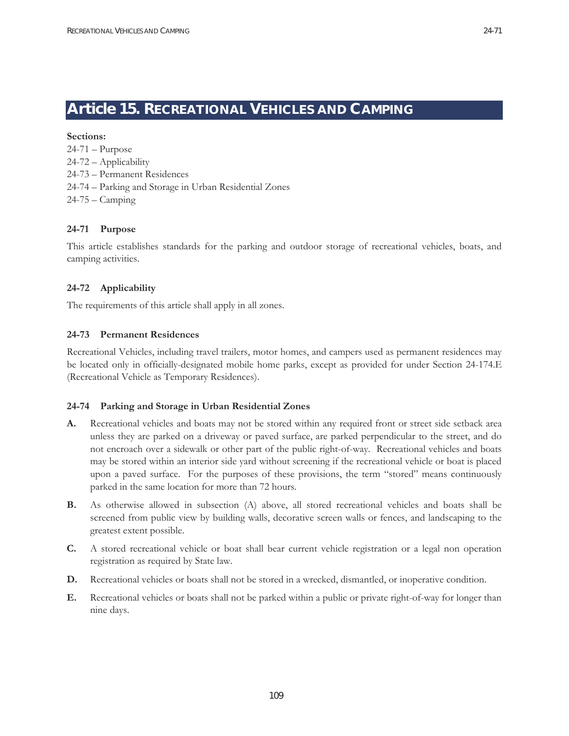# **Article 15. RECREATIONAL VEHICLES AND CAMPING**

**Sections:**  24-71 – Purpose 24-72 – Applicability 24-73 – Permanent Residences 24-74 – Parking and Storage in Urban Residential Zones 24-75 – Camping

### **24-71 Purpose**

This article establishes standards for the parking and outdoor storage of recreational vehicles, boats, and camping activities.

#### **24-72 Applicability**

The requirements of this article shall apply in all zones.

#### **24-73 Permanent Residences**

Recreational Vehicles, including travel trailers, motor homes, and campers used as permanent residences may be located only in officially-designated mobile home parks, except as provided for under Section 24-174.E (Recreational Vehicle as Temporary Residences).

#### **24-74 Parking and Storage in Urban Residential Zones**

- **A.** Recreational vehicles and boats may not be stored within any required front or street side setback area unless they are parked on a driveway or paved surface, are parked perpendicular to the street, and do not encroach over a sidewalk or other part of the public right-of-way. Recreational vehicles and boats may be stored within an interior side yard without screening if the recreational vehicle or boat is placed upon a paved surface. For the purposes of these provisions, the term "stored" means continuously parked in the same location for more than 72 hours.
- **B.** As otherwise allowed in subsection (A) above, all stored recreational vehicles and boats shall be screened from public view by building walls, decorative screen walls or fences, and landscaping to the greatest extent possible.
- **C.** A stored recreational vehicle or boat shall bear current vehicle registration or a legal non operation registration as required by State law.
- **D.** Recreational vehicles or boats shall not be stored in a wrecked, dismantled, or inoperative condition.
- **E.** Recreational vehicles or boats shall not be parked within a public or private right-of-way for longer than nine days.